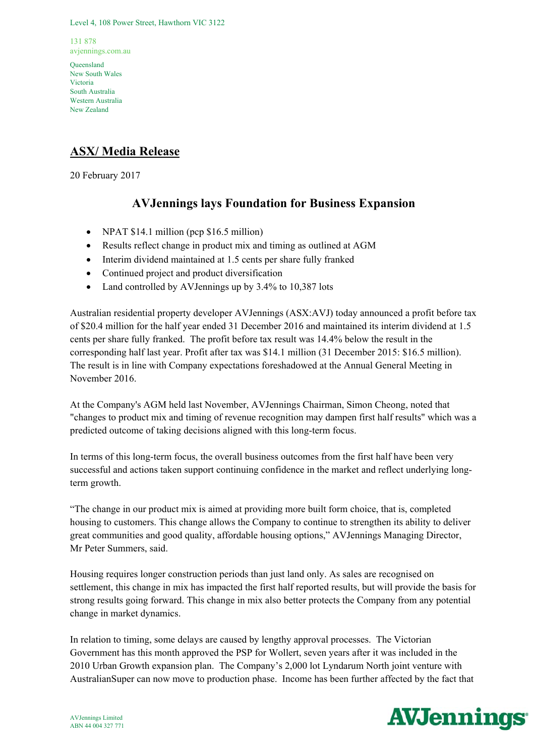Level 4, 108 Power Street, Hawthorn VIC 3122

131 878 avjennings.com.au

Queensland New South Wales Victoria South Australia Western Australia New Zealand

## **ASX/ Media Release**

20 February 2017

# **AVJennings lays Foundation for Business Expansion**

- NPAT \$14.1 million (pcp \$16.5 million)
- Results reflect change in product mix and timing as outlined at AGM
- Interim dividend maintained at 1.5 cents per share fully franked
- Continued project and product diversification
- Land controlled by AVJennings up by 3.4% to 10.387 lots

Australian residential property developer AVJennings (ASX:AVJ) today announced a profit before tax of \$20.4 million for the half year ended 31 December 2016 and maintained its interim dividend at 1.5 cents per share fully franked. The profit before tax result was 14.4% below the result in the corresponding half last year. Profit after tax was \$14.1 million (31 December 2015: \$16.5 million). The result is in line with Company expectations foreshadowed at the Annual General Meeting in November 2016.

At the Company's AGM held last November, AVJennings Chairman, Simon Cheong, noted that "changes to product mix and timing of revenue recognition may dampen first half results" which was a predicted outcome of taking decisions aligned with this long-term focus.

In terms of this long-term focus, the overall business outcomes from the first half have been very successful and actions taken support continuing confidence in the market and reflect underlying longterm growth.

"The change in our product mix is aimed at providing more built form choice, that is, completed housing to customers. This change allows the Company to continue to strengthen its ability to deliver great communities and good quality, affordable housing options," AVJennings Managing Director, Mr Peter Summers, said.

Housing requires longer construction periods than just land only. As sales are recognised on settlement, this change in mix has impacted the first half reported results, but will provide the basis for strong results going forward. This change in mix also better protects the Company from any potential change in market dynamics.

In relation to timing, some delays are caused by lengthy approval processes. The Victorian Government has this month approved the PSP for Wollert, seven years after it was included in the 2010 Urban Growth expansion plan. The Company's 2,000 lot Lyndarum North joint venture with AustralianSuper can now move to production phase. Income has been further affected by the fact that

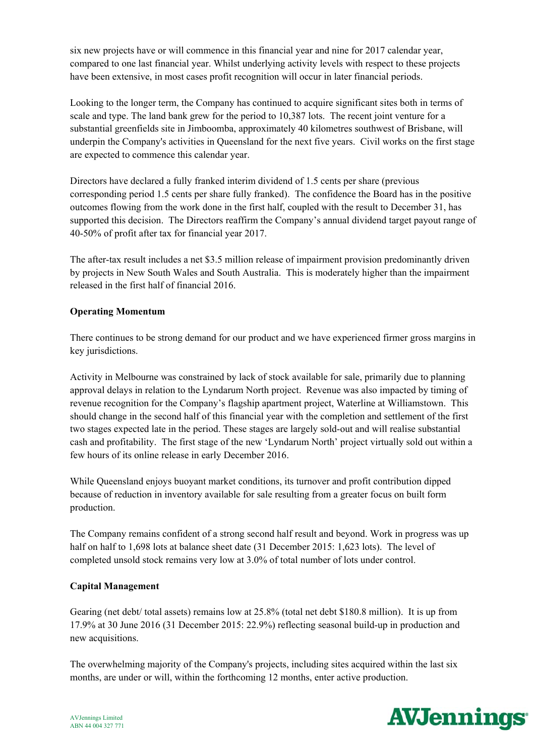six new projects have or will commence in this financial year and nine for 2017 calendar year, compared to one last financial year. Whilst underlying activity levels with respect to these projects have been extensive, in most cases profit recognition will occur in later financial periods.

Looking to the longer term, the Company has continued to acquire significant sites both in terms of scale and type. The land bank grew for the period to 10,387 lots. The recent joint venture for a substantial greenfields site in Jimboomba, approximately 40 kilometres southwest of Brisbane, will underpin the Company's activities in Queensland for the next five years. Civil works on the first stage are expected to commence this calendar year.

Directors have declared a fully franked interim dividend of 1.5 cents per share (previous corresponding period 1.5 cents per share fully franked). The confidence the Board has in the positive outcomes flowing from the work done in the first half, coupled with the result to December 31, has supported this decision. The Directors reaffirm the Company's annual dividend target payout range of 40-50% of profit after tax for financial year 2017.

The after-tax result includes a net \$3.5 million release of impairment provision predominantly driven by projects in New South Wales and South Australia. This is moderately higher than the impairment released in the first half of financial 2016.

## **Operating Momentum**

There continues to be strong demand for our product and we have experienced firmer gross margins in key jurisdictions.

Activity in Melbourne was constrained by lack of stock available for sale, primarily due to planning approval delays in relation to the Lyndarum North project. Revenue was also impacted by timing of revenue recognition for the Company's flagship apartment project, Waterline at Williamstown. This should change in the second half of this financial year with the completion and settlement of the first two stages expected late in the period. These stages are largely sold-out and will realise substantial cash and profitability. The first stage of the new 'Lyndarum North' project virtually sold out within a few hours of its online release in early December 2016.

While Queensland enjoys buoyant market conditions, its turnover and profit contribution dipped because of reduction in inventory available for sale resulting from a greater focus on built form production.

The Company remains confident of a strong second half result and beyond. Work in progress was up half on half to 1,698 lots at balance sheet date (31 December 2015: 1,623 lots). The level of completed unsold stock remains very low at 3.0% of total number of lots under control.

## **Capital Management**

Gearing (net debt/ total assets) remains low at 25.8% (total net debt \$180.8 million). It is up from 17.9% at 30 June 2016 (31 December 2015: 22.9%) reflecting seasonal build-up in production and new acquisitions.

The overwhelming majority of the Company's projects, including sites acquired within the last six months, are under or will, within the forthcoming 12 months, enter active production.